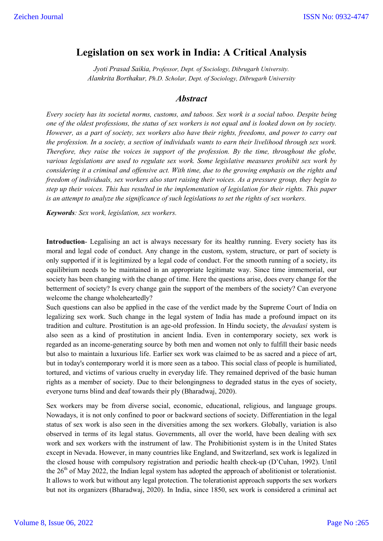# **Legislation on sex work in India: A Critical Analysis**

*Jyoti Prasad Saikia, Professor, Dept. of Sociology, Dibrugarh University. Alankrita Borthakur, Ph.D. Scholar, Dept. of Sociology, Dibrugarh University*

## *Abstract*

*Every society has its societal norms, customs, and taboos. Sex work is a social taboo. Despite being one of the oldest professions, the status of sex workers is not equal and is looked down on by society. However, as a part of society, sex workers also have their rights, freedoms, and power to carry out the profession. In a society, a section of individuals wants to earn their livelihood through sex work. Therefore, they raise the voices in support of the profession. By the time, throughout the globe, various legislations are used to regulate sex work. Some legislative measures prohibit sex work by considering it a criminal and offensive act. With time, due to the growing emphasis on the rights and freedom of individuals, sex workers also start raising their voices. As a pressure group, they begin to step up their voices. This has resulted in the implementation of legislation for their rights. This paper is an attempt to analyze the significance of such legislations to set the rights of sex workers.* 

*Keywords: Sex work, legislation, sex workers.*

**Introduction**- Legalising an act is always necessary for its healthy running. Every society has its moral and legal code of conduct. Any change in the custom, system, structure, or part of society is only supported if it is legitimized by a legal code of conduct. For the smooth running of a society, its equilibrium needs to be maintained in an appropriate legitimate way. Since time immemorial, our society has been changing with the change of time. Here the questions arise, does every change for the betterment of society? Is every change gain the support of the members of the society? Can everyone welcome the change wholeheartedly?

Such questions can also be applied in the case of the verdict made by the Supreme Court of India on legalizing sex work. Such change in the legal system of India has made a profound impact on its tradition and culture. Prostitution is an age-old profession. In Hindu society, the *devadasi* system is also seen as a kind of prostitution in ancient India. Even in contemporary society, sex work is regarded as an income-generating source by both men and women not only to fulfill their basic needs but also to maintain a luxurious life. Earlier sex work was claimed to be as sacred and a piece of art, but in today's contemporary world it is more seen as a taboo. This social class of people is humiliated, tortured, and victims of various cruelty in everyday life. They remained deprived of the basic human rights as a member of society. Due to their belongingness to degraded status in the eyes of society, everyone turns blind and deaf towards their ply (Bharadwaj, 2020).

Sex workers may be from diverse social, economic, educational, religious, and language groups. Nowadays, it is not only confined to poor or backward sections of society. Differentiation in the legal status of sex work is also seen in the diversities among the sex workers. Globally, variation is also observed in terms of its legal status. Governments, all over the world, have been dealing with sex work and sex workers with the instrument of law. The Prohibitionist system is in the United States except in Nevada. However, in many countries like England, and Switzerland, sex work is legalized in the closed house with compulsory registration and periodic health check-up (D'Cuhan, 1992). Until the  $26<sup>th</sup>$  of May 2022, the Indian legal system has adopted the approach of abolitionist or tolerationist. It allows to work but without any legal protection. The tolerationist approach supports the sex workers but not its organizers (Bharadwaj, 2020). In India, since 1850, sex work is considered a criminal act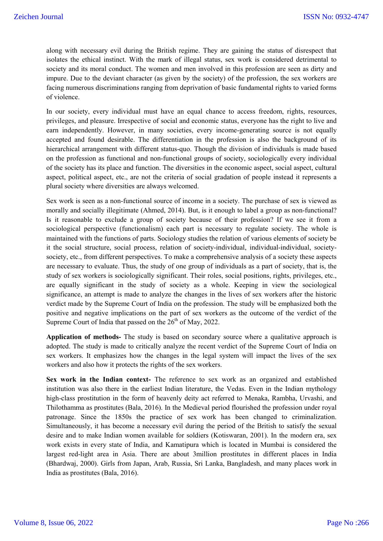along with necessary evil during the British regime. They are gaining the status of disrespect that isolates the ethical instinct. With the mark of illegal status, sex work is considered detrimental to society and its moral conduct. The women and men involved in this profession are seen as dirty and impure. Due to the deviant character (as given by the society) of the profession, the sex workers are facing numerous discriminations ranging from deprivation of basic fundamental rights to varied forms of violence.

In our society, every individual must have an equal chance to access freedom, rights, resources, privileges, and pleasure. Irrespective of social and economic status, everyone has the right to live and earn independently. However, in many societies, every income-generating source is not equally accepted and found desirable. The differentiation in the profession is also the background of its hierarchical arrangement with different status-quo. Though the division of individuals is made based on the profession as functional and non-functional groups of society, sociologically every individual of the society has its place and function. The diversities in the economic aspect, social aspect, cultural aspect, political aspect, etc., are not the criteria of social gradation of people instead it represents a plural society where diversities are always welcomed.

Sex work is seen as a non-functional source of income in a society. The purchase of sex is viewed as morally and socially illegitimate (Ahmed, 2014). But, is it enough to label a group as non-functional? Is it reasonable to exclude a group of society because of their profession? If we see it from a sociological perspective (functionalism) each part is necessary to regulate society. The whole is maintained with the functions of parts. Sociology studies the relation of various elements of society be it the social structure, social process, relation of society-individual, individual-individual, societysociety, etc., from different perspectives. To make a comprehensive analysis of a society these aspects are necessary to evaluate. Thus, the study of one group of individuals as a part of society, that is, the study of sex workers is sociologically significant. Their roles, social positions, rights, privileges, etc., are equally significant in the study of society as a whole. Keeping in view the sociological significance, an attempt is made to analyze the changes in the lives of sex workers after the historic verdict made by the Supreme Court of India on the profession. The study will be emphasized both the positive and negative implications on the part of sex workers as the outcome of the verdict of the Supreme Court of India that passed on the  $26<sup>th</sup>$  of May, 2022.

**Application of methods-** The study is based on secondary source where a qualitative approach is adopted. The study is made to critically analyze the recent verdict of the Supreme Court of India on sex workers. It emphasizes how the changes in the legal system will impact the lives of the sex workers and also how it protects the rights of the sex workers.

**Sex work in the Indian context-** The reference to sex work as an organized and established institution was also there in the earliest Indian literature, the Vedas. Even in the Indian mythology high-class prostitution in the form of heavenly deity act referred to Menaka, Rambha, Urvashi, and Thilothamma as prostitutes (Bala, 2016). In the Medieval period flourished the profession under royal patronage. Since the 1850s the practice of sex work has been changed to criminalization. Simultaneously, it has become a necessary evil during the period of the British to satisfy the sexual desire and to make Indian women available for soldiers (Kotiswaran, 2001). In the modern era, sex work exists in every state of India, and Kamatipura which is located in Mumbai is considered the largest red-light area in Asia. There are about 3million prostitutes in different places in India (Bhardwaj, 2000). Girls from Japan, Arab, Russia, Sri Lanka, Bangladesh, and many places work in India as prostitutes (Bala, 2016).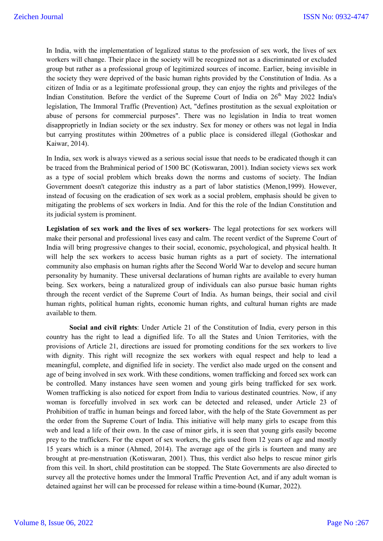In India, with the implementation of legalized status to the profession of sex work, the lives of sex workers will change. Their place in the society will be recognized not as a discriminated or excluded group but rather as a professional group of legitimized sources of income. Earlier, being invisible in the society they were deprived of the basic human rights provided by the Constitution of India. As a citizen of India or as a legitimate professional group, they can enjoy the rights and privileges of the Indian Constitution. Before the verdict of the Supreme Court of India on 26<sup>th</sup> May 2022 India's legislation, The Immoral Traffic (Prevention) Act, "defines prostitution as the sexual exploitation or abuse of persons for commercial purposes". There was no legislation in India to treat women disapproprietly in Indian society or the sex industry. Sex for money or others was not legal in India but carrying prostitutes within 200metres of a public place is considered illegal (Gothoskar and Kaiwar, 2014).

In India, sex work is always viewed as a serious social issue that needs to be eradicated though it can be traced from the Brahminical period of 1500 BC (Kotiswaran, 2001). Indian society views sex work as a type of social problem which breaks down the norms and customs of society. The Indian Government doesn't categorize this industry as a part of labor statistics (Menon,1999). However, instead of focusing on the eradication of sex work as a social problem, emphasis should be given to mitigating the problems of sex workers in India. And for this the role of the Indian Constitution and its judicial system is prominent.

**Legislation of sex work and the lives of sex workers**- The legal protections for sex workers will make their personal and professional lives easy and calm. The recent verdict of the Supreme Court of India will bring progressive changes to their social, economic, psychological, and physical health. It will help the sex workers to access basic human rights as a part of society. The international community also emphasis on human rights after the Second World War to develop and secure human personality by humanity. These universal declarations of human rights are available to every human being. Sex workers, being a naturalized group of individuals can also pursue basic human rights through the recent verdict of the Supreme Court of India. As human beings, their social and civil human rights, political human rights, economic human rights, and cultural human rights are made available to them.

**Social and civil rights**: Under Article 21 of the Constitution of India, every person in this country has the right to lead a dignified life. To all the States and Union Territories, with the provisions of Article 21, directions are issued for promoting conditions for the sex workers to live with dignity. This right will recognize the sex workers with equal respect and help to lead a meaningful, complete, and dignified life in society. The verdict also made urged on the consent and age of being involved in sex work. With these conditions, women trafficking and forced sex work can be controlled. Many instances have seen women and young girls being trafficked for sex work. Women trafficking is also noticed for export from India to various destinated countries. Now, if any woman is forcefully involved in sex work can be detected and released, under Article 23 of Prohibition of traffic in human beings and forced labor, with the help of the State Government as per the order from the Supreme Court of India. This initiative will help many girls to escape from this web and lead a life of their own. In the case of minor girls, it is seen that young girls easily become prey to the traffickers. For the export of sex workers, the girls used from 12 years of age and mostly 15 years which is a minor (Ahmed, 2014). The average age of the girls is fourteen and many are brought at pre-menstruation (Kotiswaran, 2001). Thus, this verdict also helps to rescue minor girls from this veil. In short, child prostitution can be stopped. The State Governments are also directed to survey all the protective homes under the Immoral Traffic Prevention Act, and if any adult woman is detained against her will can be processed for release within a time-bound (Kumar, 2022).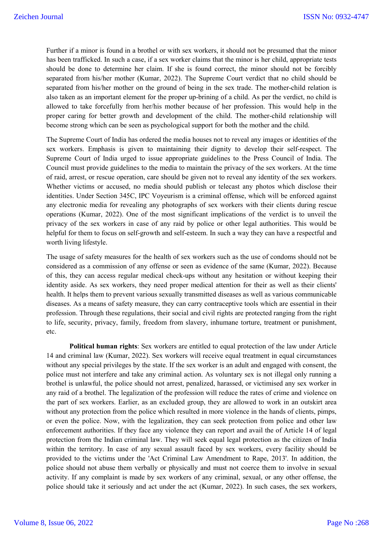Further if a minor is found in a brothel or with sex workers, it should not be presumed that the minor has been trafficked. In such a case, if a sex worker claims that the minor is her child, appropriate tests should be done to determine her claim. If she is found correct, the minor should not be forcibly separated from his/her mother (Kumar, 2022). The Supreme Court verdict that no child should be separated from his/her mother on the ground of being in the sex trade. The mother-child relation is also taken as an important element for the proper up-brining of a child. As per the verdict, no child is allowed to take forcefully from her/his mother because of her profession. This would help in the proper caring for better growth and development of the child. The mother-child relationship will become strong which can be seen as psychological support for both the mother and the child.

The Supreme Court of India has ordered the media houses not to reveal any images or identities of the sex workers. Emphasis is given to maintaining their dignity to develop their self-respect. The Supreme Court of India urged to issue appropriate guidelines to the Press Council of India. The Council must provide guidelines to the media to maintain the privacy of the sex workers. At the time of raid, arrest, or rescue operation, care should be given not to reveal any identity of the sex workers. Whether victims or accused, no media should publish or telecast any photos which disclose their identities. Under Section 345C, IPC Voyeurism is a criminal offense, which will be enforced against any electronic media for revealing any photographs of sex workers with their clients during rescue operations (Kumar, 2022). One of the most significant implications of the verdict is to unveil the privacy of the sex workers in case of any raid by police or other legal authorities. This would be helpful for them to focus on self-growth and self-esteem. In such a way they can have a respectful and worth living lifestyle.

The usage of safety measures for the health of sex workers such as the use of condoms should not be considered as a commission of any offense or seen as evidence of the same (Kumar, 2022). Because of this, they can access regular medical check-ups without any hesitation or without keeping their identity aside. As sex workers, they need proper medical attention for their as well as their clients' health. It helps them to prevent various sexually transmitted diseases as well as various communicable diseases. As a means of safety measure, they can carry contraceptive tools which are essential in their profession. Through these regulations, their social and civil rights are protected ranging from the right to life, security, privacy, family, freedom from slavery, inhumane torture, treatment or punishment, etc.

**Political human rights**: Sex workers are entitled to equal protection of the law under Article 14 and criminal law (Kumar, 2022). Sex workers will receive equal treatment in equal circumstances without any special privileges by the state. If the sex worker is an adult and engaged with consent, the police must not interfere and take any criminal action. As voluntary sex is not illegal only running a brothel is unlawful, the police should not arrest, penalized, harassed, or victimised any sex worker in any raid of a brothel. The legalization of the profession will reduce the rates of crime and violence on the part of sex workers. Earlier, as an excluded group, they are allowed to work in an outskirt area without any protection from the police which resulted in more violence in the hands of clients, pimps, or even the police. Now, with the legalization, they can seek protection from police and other law enforcement authorities. If they face any violence they can report and avail the of Article 14 of legal protection from the Indian criminal law. They will seek equal legal protection as the citizen of India within the territory. In case of any sexual assault faced by sex workers, every facility should be provided to the victims under the 'Act Criminal Law Amendment to Rape, 2013'. In addition, the police should not abuse them verbally or physically and must not coerce them to involve in sexual activity. If any complaint is made by sex workers of any criminal, sexual, or any other offense, the police should take it seriously and act under the act (Kumar, 2022). In such cases, the sex workers,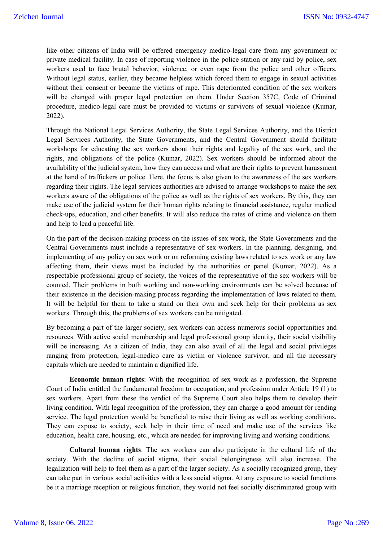like other citizens of India will be offered emergency medico-legal care from any government or private medical facility. In case of reporting violence in the police station or any raid by police, sex workers used to face brutal behavior, violence, or even rape from the police and other officers. Without legal status, earlier, they became helpless which forced them to engage in sexual activities without their consent or became the victims of rape. This deteriorated condition of the sex workers will be changed with proper legal protection on them. Under Section 357C, Code of Criminal procedure, medico-legal care must be provided to victims or survivors of sexual violence (Kumar, 2022).

Through the National Legal Services Authority, the State Legal Services Authority, and the District Legal Services Authority, the State Governments, and the Central Government should facilitate workshops for educating the sex workers about their rights and legality of the sex work, and the rights, and obligations of the police (Kumar, 2022). Sex workers should be informed about the availability of the judicial system, how they can access and what are their rights to prevent harassment at the hand of traffickers or police. Here, the focus is also given to the awareness of the sex workers regarding their rights. The legal services authorities are advised to arrange workshops to make the sex workers aware of the obligations of the police as well as the rights of sex workers. By this, they can make use of the judicial system for their human rights relating to financial assistance, regular medical check-ups, education, and other benefits. It will also reduce the rates of crime and violence on them and help to lead a peaceful life.

On the part of the decision-making process on the issues of sex work, the State Governments and the Central Governments must include a representative of sex workers. In the planning, designing, and implementing of any policy on sex work or on reforming existing laws related to sex work or any law affecting them, their views must be included by the authorities or panel (Kumar, 2022). As a respectable professional group of society, the voices of the representative of the sex workers will be counted. Their problems in both working and non-working environments can be solved because of their existence in the decision-making process regarding the implementation of laws related to them. It will be helpful for them to take a stand on their own and seek help for their problems as sex workers. Through this, the problems of sex workers can be mitigated.

By becoming a part of the larger society, sex workers can access numerous social opportunities and resources. With active social membership and legal professional group identity, their social visibility will be increasing. As a citizen of India, they can also avail of all the legal and social privileges ranging from protection, legal-medico care as victim or violence survivor, and all the necessary capitals which are needed to maintain a dignified life.

**Economic human rights**: With the recognition of sex work as a profession, the Supreme Court of India entitled the fundamental freedom to occupation, and profession under Article 19 (1) to sex workers. Apart from these the verdict of the Supreme Court also helps them to develop their living condition. With legal recognition of the profession, they can charge a good amount for rending service. The legal protection would be beneficial to raise their living as well as working conditions. They can expose to society, seek help in their time of need and make use of the services like education, health care, housing, etc., which are needed for improving living and working conditions.

**Cultural human rights**: The sex workers can also participate in the cultural life of the society. With the decline of social stigma, their social belongingness will also increase. The legalization will help to feel them as a part of the larger society. As a socially recognized group, they can take part in various social activities with a less social stigma. At any exposure to social functions be it a marriage reception or religious function, they would not feel socially discriminated group with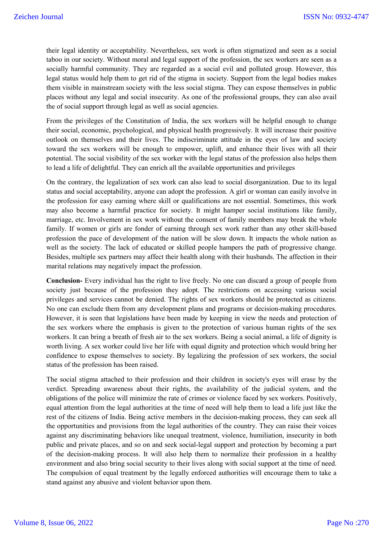their legal identity or acceptability. Nevertheless, sex work is often stigmatized and seen as a social taboo in our society. Without moral and legal support of the profession, the sex workers are seen as a socially harmful community. They are regarded as a social evil and polluted group. However, this legal status would help them to get rid of the stigma in society. Support from the legal bodies makes them visible in mainstream society with the less social stigma. They can expose themselves in public places without any legal and social insecurity. As one of the professional groups, they can also avail the of social support through legal as well as social agencies.

From the privileges of the Constitution of India, the sex workers will be helpful enough to change their social, economic, psychological, and physical health progressively. It will increase their positive outlook on themselves and their lives. The indiscriminate attitude in the eyes of law and society toward the sex workers will be enough to empower, uplift, and enhance their lives with all their potential. The social visibility of the sex worker with the legal status of the profession also helps them to lead a life of delightful. They can enrich all the available opportunities and privileges

On the contrary, the legalization of sex work can also lead to social disorganization. Due to its legal status and social acceptability, anyone can adopt the profession. A girl or woman can easily involve in the profession for easy earning where skill or qualifications are not essential. Sometimes, this work may also become a harmful practice for society. It might hamper social institutions like family, marriage, etc. Involvement in sex work without the consent of family members may break the whole family. If women or girls are fonder of earning through sex work rather than any other skill-based profession the pace of development of the nation will be slow down. It impacts the whole nation as well as the society. The lack of educated or skilled people hampers the path of progressive change. Besides, multiple sex partners may affect their health along with their husbands. The affection in their marital relations may negatively impact the profession.

**Conclusion-** Every individual has the right to live freely. No one can discard a group of people from society just because of the profession they adopt. The restrictions on accessing various social privileges and services cannot be denied. The rights of sex workers should be protected as citizens. No one can exclude them from any development plans and programs or decision-making procedures. However, it is seen that legislations have been made by keeping in view the needs and protection of the sex workers where the emphasis is given to the protection of various human rights of the sex workers. It can bring a breath of fresh air to the sex workers. Being a social animal, a life of dignity is worth living. A sex worker could live her life with equal dignity and protection which would bring her confidence to expose themselves to society. By legalizing the profession of sex workers, the social status of the profession has been raised.

The social stigma attached to their profession and their children in society's eyes will erase by the verdict. Spreading awareness about their rights, the availability of the judicial system, and the obligations of the police will minimize the rate of crimes or violence faced by sex workers. Positively, equal attention from the legal authorities at the time of need will help them to lead a life just like the rest of the citizens of India. Being active members in the decision-making process, they can seek all the opportunities and provisions from the legal authorities of the country. They can raise their voices against any discriminating behaviors like unequal treatment, violence, humiliation, insecurity in both public and private places, and so on and seek social-legal support and protection by becoming a part of the decision-making process. It will also help them to normalize their profession in a healthy environment and also bring social security to their lives along with social support at the time of need. The compulsion of equal treatment by the legally enforced authorities will encourage them to take a stand against any abusive and violent behavior upon them.